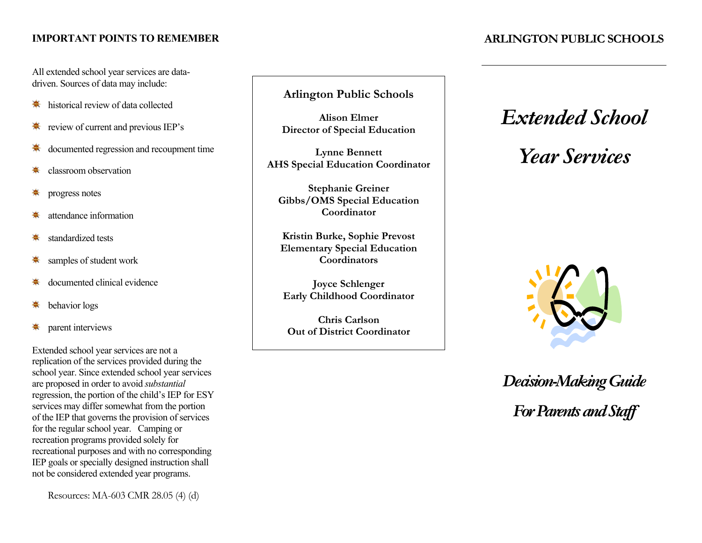#### **IMPORTANT POINTS TO REMEMBER ARLINGTON PUBLIC SCHOOLS**

 All extended school year services are data-driven. Sources of data may include:

- historical review of data collected ♣
- review of current and previous IEP's ♣
- documented regression and recoupment time ♣
- ♣ classroom observation
- progress notes ♣
- attendance information ♣
- standardized tests ♣
- samples of student work ♣
- documented clinical evidence ♣
- behavior logs ♣
- ♣ parent interviews

 Extended school year services are not a school year. Since extended school year services of the IEP that governs the provision of services for the regular school year. Camping or replication of the services provided during the are proposed in order to avoid *substantial*  regression, the portion of the child's IEP for ESY services may differ somewhat from the portion recreation programs provided solely for recreational purposes and with no corresponding IEP goals or specially designed instruction shall not be considered extended year programs.

Resources: MA-603 CMR 28.05 (4) (d)

 **Arlington Public Schools** 

**Alison Elmer Director of Special Education** 

**Lynne Bennett AHS Special Education Coordinator** 

**Stephanie Greiner Gibbs/OMS Special Education Coordinator** 

**Kristin Burke, Sophie Prevost Elementary Special Education Coordinators** 

**Joyce Schlenger Early Childhood Coordinator** 

**Chris Carlson Out of District Coordinator** 

## *Extended School*

# *Year Services*



For Parents and Staff *Decision-MakingGuide*